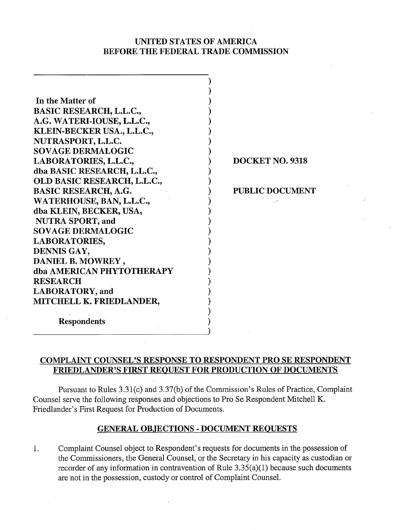# UNITED STATES OF AMERICA BEFORE THE FEDERAL TRADE COMMISSION

 $)$  $\bm{\Sigma}$ 

)  $)$ )  $)$  $)$ 

 $)$  $)$ 

 $)$ 

)

 $)$ )  $)$ 

)  $)$ )  $)$ 

In the Matter of BASIC RESEARCH, L.L.C., A.G. WATERI-IOUSE, L.L.C., KLEIN-BECKER USA., L.L.C., NUTRASPORT, L.L.C. SOVAGE DERMALOGIC LABORATORIES, L.L.C., dba BASIC RESEARCH, L.L.C., OLD BASIC RESEARCH, L.L.C., BASIC RESEARCH, A.G. WATERHOUSE, BAN, L.L.C., dba KLEIN, BECKER, USA, NUTRA SPORT, and SOVAGE DERMALOGIC LABORATORIES, DENNIS GAY, DANIEL B. MOWREY , dba AMERICAN PHYTOTHERAPY RESEARCH LABORATORY, and MITCHELL K. FRIEDLANDER,

1 DOCKET NO. 9318

PUBLIC DOCUMENT

Respondents

# COMPLAINT COUNSEL'S RESPONSE TO RESPONDENT PRO SE RESPONDENT FRIEDLANDER'S FIRST REQUEST FOR PRODUCTION OF DOCUMENTS

Pursuant to Rules 3.31(c) and 3.37(b) of the Commission's Rules of Practice, Complaint Counsel serve the following responses and objections to Pro Se Respondent Mitchell K. Friedlander's First Request for Production of Documents.

# GENERAL OBJECTIONS - DOCUMENT REOUESTS

1. Complaint Counsel object to Respondent's requests for documents in the possession of the Commissioners, the General Counsel, or the Secretary in his capacity as custodian or recorder of any information in contravention of Rule  $3.35(a)(1)$  because such documents are not in the possession, custody or control of Complaint Counsel.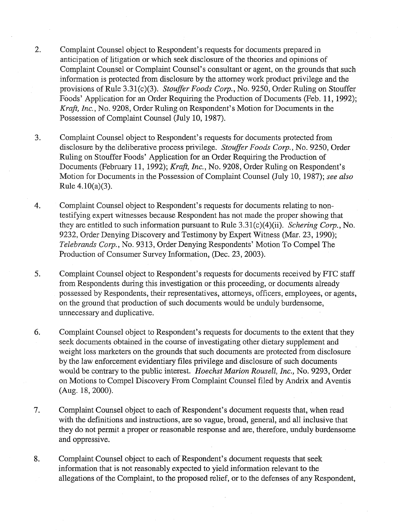- 2. Complaint Counsel object to Respondent's requests for documents prepared in anticipation of litigation or which seek disclosure of the theories and opinions of Complaint Counsel or Complaint Counsel's consultant or agent, on the grounds that such information is protected from disclosure by the attorney work product privilege and the provisions of Rule 3.31(c)(3). Stouffer Foods Corp., No. 9250, Order Ruling on Stouffer Foods' Application for an Order Requiring the Production of Documents (Feb. 11, 1992); Kraft, Inc., No. 9208, Order Ruling on Respondent's Motion for Documents in the Possession of Complaint Counsel (July 10, 1987).
- 3. Complaint Counsel object to Respondent's requests for documents protected from disclosure by the deliberative process privilege. *Stouffer Foods Corp.*, No. 9250, Order Ruling on Stouffer Foods' Application for an Order Requiring the Production of Documents (February 11, 1992); Kraft, Inc., No. 9208, Order Ruling on Respondent's Motion for Documents in the Possession of Complaint Counsel (July 10, 1987); see also Rule 4.10(a)(3).
- 4. Complaint Counsel object to Respondent's requests for documents relating to nontestifying expert witnesses because Respondent has not made the proper showing that they are entitled to such information pursuant to Rule  $3.31(c)(4)(ii)$ . Schering Corp., No. 9232, Order Denying Discovery and Testimony by Expert Witness (Mar. 23, 1990); Telebrands Corp., No. 9313, Order Denying Respondents' Motion To Compel The Production of Consumer Survey Information, (Dec. 23, 2003).
- 5. Complaint Counsel object to Respondent's requests for documents received by FTC staff from Respondents during this investigation or this proceeding, or documents already possessed by Respondents, their representatives, attorneys, officers, employees, or agents, on the ground that production of such documents would be unduly burdensome, unnecessay and duplicative.
- 6. Complaint Counsel object to Respondent's requests for documents to the extent that they seek documents obtained in the course of investigating other dietary supplement and weight loss marketers on the grounds that such documents are protected from disclosure by the law enforcement evidentiary files privilege and disclosure of such documents would be contrary to the public interest. Hoechst Marion Rousell, Inc., No. 9293, Order on Motions to Compel Discovery From Complaint Counsel filed by Andrix and Aventis (Aug. 18,2000).
- 7. Complaint Counsel object to each of Respondent's document requests that, when read with the definitions and instructions, are so vague, broad, general, and all inclusive that they do not permit a proper or reasonable response and are, therefore, unduly burdensome and oppressive.
- 8. Complaint Counsel object to each of Respondent's document requests that seek information that is not reasonably expected to yield information relevant to the allegations of the Complaint, to the proposed relief, or to the defenses of any Respondent,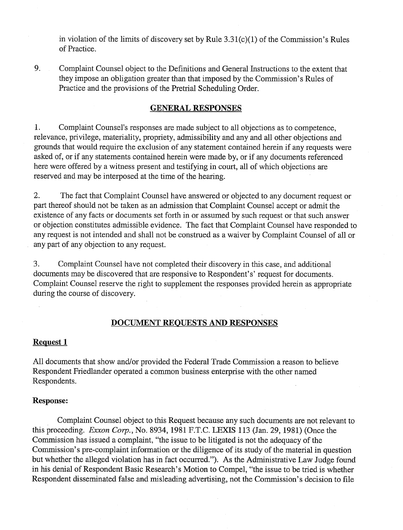in violation of the limits of discovery set by Rule  $3.31(c)(1)$  of the Commission's Rules of Practice.

9. Complaint Counsel object to the Definitions and General Instructions to the extent that they impose an obligation greater than that imposed by the Commission's Rules of Practice and the provisions of the Pretrial Scheduling Order.

# **GENERAL RESPONSES**

1. Complaint Counsel's responses are made subject to all objections as to competence, relevance, privilege, materiality, propriety, admissibility and any and all other objections and grounds that would require the exclusion of any statement contained herein if any requests were asked of, or if any statements contained herein were made by, or if any documents referenced here were offered by a witness present and testifying in court, all of which objections are reserved and may be interposed at the time of the hearing.

2. The fact that Complaint Counsel have answered or objected to any document request or part thereof should not be taken as an admission that Complaint Counsel accept or admit the existence of any facts or documents set forth in or assumed by such request or that such answer or objection constitutes admissible evidence. The fact that Complaint Counsel have responded to any request is not intended and shall not be construed as a waiver by Complaint Counsel of all or any part of any objection to any request.

3. Complaint Counsel have not completed their discovery in this case, and additional documents may be discovered that are responsive to Respondent's' request for documents. Complaint Counsel reserve the right to supplement the responses provided herein as appropriate during the course of discovery.

# **DOCUMENT REQUESTS AND RESPONSES**

# **Request 1**

All documents that show and/or provided the Federal Trade Commission a reason to believe Respondent Friedlander operated a common business enterprise with the other named Respondents.

## **Response:**

Complaint Counsel object to this Request because any such documents are not relevant to this proceeding. **Exxon** *Cop,* No. 8934,1981 F.T.C. LEXIS 113 (Jan. 29, 1981) (Once the Commission has issued a complaint, "the issue to be litigated is not the adequacy of the Commission's pre-complaint information or the diligence of its study of the material in question but whether the alleged violation has in fact occurred."). As the Administrative Law Judge found in his denial of Respondent Basic Research's Motion to Compel, "the issue to be tried is whether Respondent disseminated false and misleading advertising, not the Commission's decision to file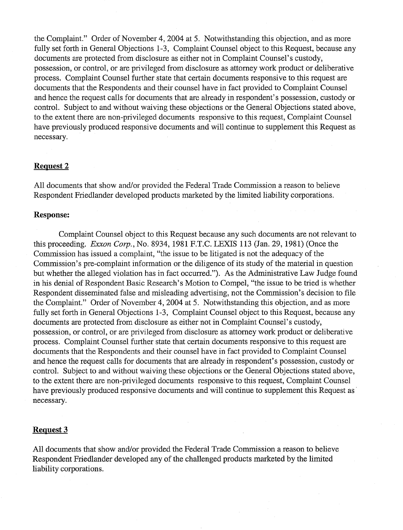the Complaint." Order of November 4,2004 at 5. Notwithstanding this objection, and as more fully set forth in General Objections 1-3, Complaint Counsel object to this Request, because any documents are protected from disclosure as either not in Complaint Counsel's custody, possession, or control, or are privileged from disclosure as attorney work product or deliberative process. Complaint Counsel further state that certain documents responsive to this request are documents that the Respondents and their counsel have in fact provided to Complaint Counsel and hence the request calls for documents that are already in respondent's possession, custody or control. Subject to and without waiving these objections or the General Objections stated above, to the extent there are non-privileged documents responsive to this request, Complaint Counsel have previously produced responsive documents and will continue to supplement this Request as necessary.

## **Request 2**

All documents that show and/or provided the Federal Trade Commission a reason to believe Respondent Friedlander developed products marketed by the limited liability corporations.

### **Response:**

Complaint Counsel object to this Request because any such documents are not relevant to this proceeding. Exxon Corp., No. 8934, 1981 F.T.C. LEXIS 113 (Jan. 29, 1981) (Once the Commission has issued a complaint, "the issue to be litigated is not the adequacy of the Commission's pre-complaint information or the diligence of its study of the material in question but whether the alleged violation has in fact occurred."). As the Administrative Law Judge found in his denial of Respondent Basic Research's Motion to Compel, "the issue to be tried is whether Respondent disseminated false and misleading advertising, not the Commission's decision to file the Complaint." Order of November 4, 2004 at 5. Notwithstanding this objection, and as more fully set forth in General Objections 1-3, Complaint Counsel object to this Request, because any documents are protected from disclosure as either not in Complaint Counsel's custody, possession, or control, or are privileged from disclosure as attorney work product or deliberative process. Complaint Counsel further state that certain documents responsive to this request are documents that the Respondents and their counsel have in fact provided to Complaint Counsel and hence the request calls for documents that are already in respondent's possession, custody or control. Subject to and without waiving these objections or the General Objections stated above, to the extent there are non-privileged documents responsive to this request, Complaint Counsel have previously produced responsive documents and will continue to supplement this Request as necessary.

# **Request 3**

All documents that show and/or provided the Federal Trade Commission a reason to believe Respondent Friedlander developed any of the challenged products marketed by the limited liability corporations.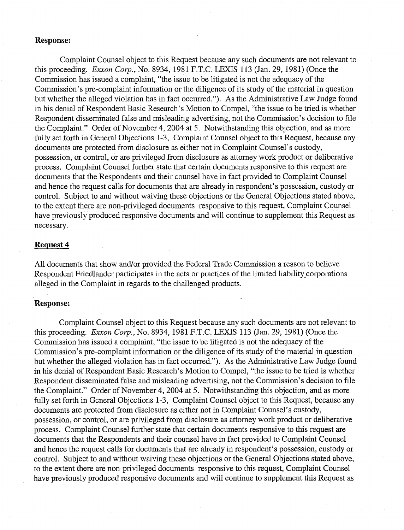## **Response:**

Complaint Counsel object to this Request because any such documents are not relevant to this proceeding. Exxon Corp., No. 8934, 1981 F.T.C. LEXIS 113 (Jan. 29, 1981) (Once the Commission has issued a complaint, "the issue to be litigated is not the adequacy of the Commission's pre-complaint information or the diligence of its study of the material in question but whether the alleged violation has in fact occurred."). As the Administrative Law Judge found in his denial of Respondent Basic Research's Motion to Compel, "the issue to be tried is whether Respondent disseminated false and misleading advertising, not the Commission's decision to file the Complaint." Order of November 4,2004 at 5. Notwithstanding this objection, and as more fully set forth in General Objections 1-3, Complaint Counsel object to this Request, because any documents are protected from disclosure as either not in Complaint Counsel's custody, possession, or control, or are privileged from disclosure as attorney work product or deliberative process. Complaint Counsel further state that certain documents responsive to this request are documents that the Respondents and their counsel have in fact provided to Complaint Counsel and hence the request calls for documents that are already in respondent's possession, custody or control. Subject to and without waiving these objections or the General Objections stated above, to the extent there are non-privileged documents responsive to this request, Complaint Counsel have previously produced responsive documents and will continue to supplement this Request as necessary.

# **Request 4**

All documents that show and/or provided the Federal Trade Commission a reason to believe Respondent Friedlander participates in the acts or practices of the limited liability-corporations alleged in the Complaint in regards to the challenged products.

## **Response:**

Complaint Counsel object to this Request because any such documents are not relevant to this proceeding. Exxon Corp., No. 8934, 1981 F.T.C. LEXIS 113 (Jan. 29, 1981) (Once the Commission has issued a complaint, "the issue to be litigated is not the adequacy of the Commission's pre-complaint information or the diligence of its study of the material in question but whether the alleged violation has in fact occurred."). As the Administrative Law Judge found in his denial of Respondent Basic Research's Motion to Compel, "the issue to be tried is whether Respondent disseminated false and misleading advertising, not the Commission's decision to file the Complaint." Order of November 4,2004 at *5.* Notwithstanding this objection, and as more fully set forth in General Objections 1-3, Complaint Counsel object to this Request, because any documents are protected from disclosure as either not in Complaint Counsel's custody, possession, or control, or are privileged from disclosure as attorney work product or deliberative process. Complaint Counsel further state that certain documents responsive to this request are documents that the Respondents and their counsel have in fact provided to Complaint Counsel and hence the request calls for documents that are already in respondent's possession, custody or control. Subject to and without waiving these objections or the General Objections stated above, to the extent there are non-privileged documents responsive to this request, Complaint Counsel have previously produced responsive documents and will continue to supplement this Request as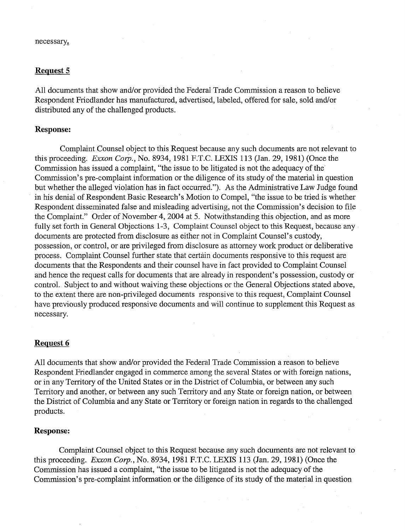#### necessary,

## **Request 5**

All documents that show and/or provided the Federal Trade Commission a reason to believe Respondent Friedlander has manufactured, advertised, labeled, offered for sale, sold andlor distributed any of the challenged products.

## **Response:**

Complaint Counsel object to this Request because any such documents are not relevant to this proceeding. Exxon Corp., No. 8934, 1981 F.T.C. LEXIS 113 (Jan. 29, 1981) (Once the Commission has issued a complaint, "the issue to be litigated is not the adequacy of the Commission's pre-complaint information or the diligence of its study of the material in question but whether the alleged violation has in fact occurred."). As the Administrative Law Judge found in his denial of Respondent Basic Research's Motion to Compel, "the issue to be tried is whether Respondent disseminated false and misleading advertising, not the Commission's decision to file the Complaint." Order of November 4,2004 at *5.* Notwithstanding this objection, and as more fully set forth in General Objections 1-3, Complaint Counsel object to this Request, because any documents are protected from disclosure as either not in Complaint Counsel's custody, possession, or control, or are privileged from disclosure as attorney work product or deliberative process. Complaint Counsel further state that certain documents responsive to this request are documents that the Respondents and their counsel have in fact provided to Complaint Counsel and hence the request calls for documents that are already in respondent's possession, custody or control. Subject to and without waiving these objections or the General Objections stated above, to the extent there are non-privileged documents responsive to this request, Complaint Counsel have previously produced responsive documents and will continue to supplement this Request as necessary.

## **Request 6**

All documents that show and/or provided the Federal Trade Commission a reason to believe Respondent Friedlander engaged in commerce among the several States or with foreign nations, or in any Territory of the United States or in the District of Columbia, or between any such Territory and another, or between any such Territory and any State or foreign nation, or between the District of Columbia and any State or Territory or foreign nation in regards to the challenged products.

#### **Response:**

Complaint Counsel object to this Request because any such documents are not relevant to this proceeding. Exxon Corp., No. 8934, 1981 F.T.C. LEXIS 113 (Jan. 29, 1981) (Once the Commission has issued a complaint, "the issue to be litigated is not the adequacy of the Commission's pre-complaint information or the diligence of its study of the material in question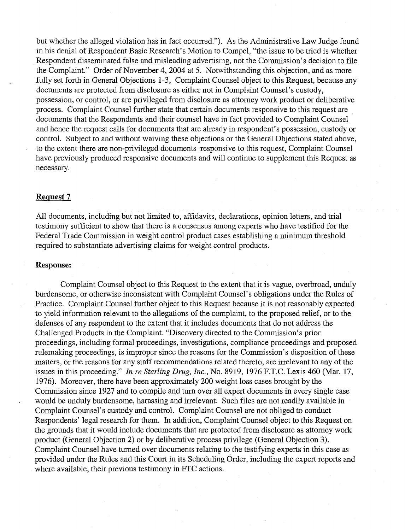but whether the alleged violation has in fact occurred."). As the Administrative Law Judge found in his denial of Respondent Basic Research's Motion to Compel, "the issue to be tried is whether Respondent disseminated false and misleading advertising, not the Commission's decision to file the Complaint." Order of November 4,2004 at 5. Notwithstanding this objection, and as more fully set forth in General Objections 1-3, Complaint Counsel object to this Request, because any documents are protected from disclosure as either not in Complaint Counsel's custody, possession, or control, or are privileged from disclosure as attorney work product or deliberative process. Complaint Counsel further state that certain documents responsive to this request are documents that the Respondents and their counsel have in fact provided to Complaint Counsel and hence the request calls for documents that are already in respondent's possession, custody or control. Subject to and without waiving these objections or the General Objections stated above, to the extent there are non-privileged documents responsive to this request, Complaint Counsel have previously produced responsive documents and will continue to supplement this Request as necessary.

### **Request 7**

All documents, including but not limited to, affidavits, declarations, opinion letters, and trial testimony sufficient to show that there is a consensus among experts who have testified for the Federal Trade Commission in weight control product cases establishing a minimum threshold required to substantiate advertising claims for weight control products.

## **Response:**

Complaint Counsel object to this Request to the extent that it is vague, overbroad, unduly burdensome, or otherwise inconsistent with Complaint Counsel's obligations under the Rules of Practice. Complaint Counsel further object to this Request because it is not reasonably expected to yield information relevant to the allegations of the complaint, to the proposed relief, or to the defenses of any respondent to the extent that it includes documents that do not address the Challenged Products in the Complaint. "Discovery directed to the Commission's prior proceedings, including formal proceedings, investigations, compliance proceedings and proposed rulemaking proceedings, is improper since the reasons for the Commission's disposition of these matters, or the reasons for any staff recommendations related thereto, are irrelevant to any of the issues in this proceeding." In *re* Sterling Drug, Inc., No. 8919, 1976 F.T.C. Lexis 460 (Mar. 17, 1976). Moreover, there have been approximately 200 weight loss cases brought by the Commission since 1927 and to compile and turn over all expert documents in every single case would be unduly burdensome, harassing and irrelevant. Such files are not readily available in Complaint Counsel's custody and control. Complaint Counsel are not obliged to conduct Respondents' legal research for them. In addition, Complaint Counsel object to this Request on the grounds that it would include documents that are protected from disclosure as attorney work product (General Objection 2) or by deliberative process privilege (General Objection 3). Complaint Counsel have turned over documents relating to the testifying experts in this case as provided under the Rules and this Court in its Scheduling Order, including the expert reports and where available, their previous testimony in FTC actions.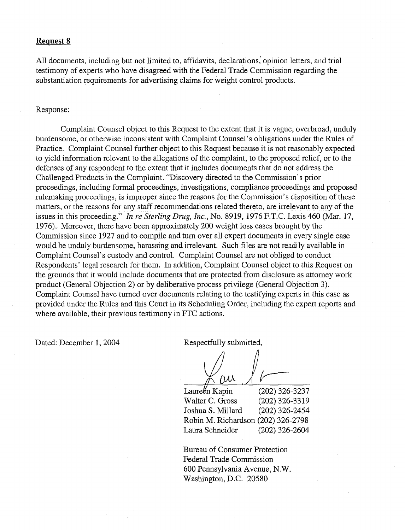## **Request 8**

All documents, including but not limited to, affidavits, declarations; opinion letters, and trial testimony of experts who have disagreed with the Federal Trade Commission regarding the substantiation requirements for advertising claims for weight control products.

#### Response:

Complaint Counsel object to this Request to the extent that it is vague, overbroad, unduly burdensome, or otherwise inconsistent with Complaint Counsel's obligations under the Rules of Practice. Complaint Counsel further object to this Request because it is not reasonably expected to yield information relevant to the allegations of the complaint, to the proposed relief, or to the defenses of any respondent to the extent that it includes documents that do not address the Challenged Products in the Complaint. "Discovery directed to the Commission's prior proceedings, including formal proceedings, investigations, compliance proceedings and proposed rulemaking proceedings, is improper since the reasons for the Commission's disposition of these matters, or the reasons for any staff recommendations related thereto, are irrelevant to any of the issues in this proceeding." In *re Sterling Drug,* Inc., No. 8919, 1976 F.T.C. Lexis 460 (Mar. 17, 1976). Moreover, there have been approximately 200 weight loss cases brought by the Commission since 1927 and to compile and turn over all expert documents in every single case would be unduly burdensome, harassing and irrelevant. Such files are not readily available in Complaint Counsel's custody and control. Complaint Counsel are not obliged to conduct Respondents' legal research for them. In addition, Complaint Counsel object to this Request on the grounds that it would include documents that are protected from disclosure as attorney work product (General Objection 2) or by deliberative process privilege (General Objection 3). Complaint Counsel have turned over documents relating to the testifying experts in this case as provided under the Rules and this Court in its Scheduling Order, including the expert reports and where available, their previous testimony in FTC actions.

Dated: December 1, 2004 Respectfully submitted,

ru

 $Laurekn$  Kapin (202) 326-3237 Walter C. Gross (202) 326-3319 Joshua S. Millard (202) 326-2454 Robin M. Richardson (202) 326-2798 Laura Schneider (202) 326-2604

Bureau of Consumer Protection Federal Trade Commission 600 Pennsylvania Avenue, N.W. Washington, D.C. 20580